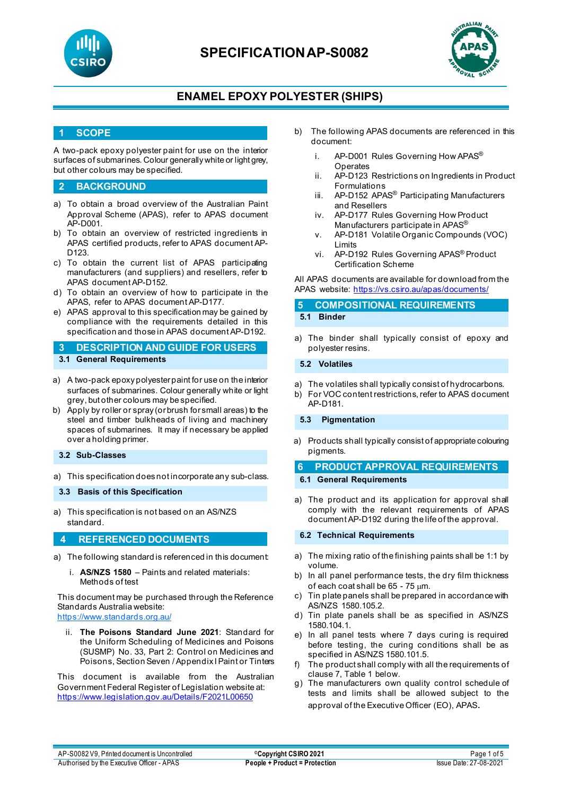



### **ENAMEL EPOXY POLYESTER (SHIPS)**

#### **1 SCOPE**

A two-pack epoxy polyester paint for use on the interior surfaces of submarines. Colour generally white or light grey, but other colours may be specified.

#### **2 BACKGROUND**

- a) To obtain a broad overview of the Australian Paint Approval Scheme (APAS), refer to APAS document AP-D001.
- b) To obtain an overview of restricted ingredients in APAS certified products, refer to APAS document AP-D123.
- c) To obtain the current list of APAS participating manufacturers (and suppliers) and resellers, refer to APAS document AP-D152.
- d) To obtain an overview of how to participate in the APAS, refer to APAS document AP-D177.
- e) APAS approval to this specification may be gained by compliance with the requirements detailed in this specification and those in APAS document AP-D192.

**3 DESCRIPTION AND GUIDE FOR USERS**

- **3.1 General Requirements**
- a) A two-pack epoxy polyester paint for use on the interior surfaces of submarines. Colour generally white or light grey, but other colours may be specified.
- b) Apply by roller or spray (or brush for small areas) to the steel and timber bulkheads of living and machinery spaces of submarines. It may if necessary be applied over a holding primer.
- **3.2 Sub-Classes**
- a) This specification does not incorporate any sub-class.

**3.3 Basis of this Specification**

a) This specification is not based on an AS/NZS standard.

**4 REFERENCED DOCUMENTS**

- a) The following standard is referenced in this document:
	- i. **AS/NZS 1580** Paints and related materials: Methods of test

This document may be purchased through the Reference Standards Australia website: <https://www.standards.org.au/>

ii. **The Poisons Standard June 2021**: Standard for the Uniform Scheduling of Medicines and Poisons (SUSMP) No. 33, Part 2: Control on Medicines and Poisons, Section Seven / Appendix I Paint or Tinters

This document is available from the Australian Government Federal Register of Legislation website at: <https://www.legislation.gov.au/Details/F2021L00650>

- b) The following APAS documents are referenced in this document:
	- i. AP-D001 Rules Governing How APAS<sup>®</sup> **Operates**
	- ii. AP-D123 Restrictions on Ingredients in Product Formulations
	- iii. AP-D152 APAS<sup>®</sup> Participating Manufacturers and Resellers
	- iv. AP-D177 Rules Governing How Product Manufacturers participate in APAS®
	- v. AP-D181 Volatile Organic Compounds (VOC) Limits
	- vi. AP-D192 Rules Governing APAS® Product Certification Scheme

All APAS documents are available for download from the APAS website: <https://vs.csiro.au/apas/documents/>

# **5 COMPOSITIONAL REQUIREMENTS**

#### **5.1 Binder**

a) The binder shall typically consist of epoxy and polyester resins.

**5.2 Volatiles**

- a) The volatiles shall typically consist of hydrocarbons.
- b) For VOC content restrictions, refer to APAS document AP-D181.

**5.3 Pigmentation**

a) Products shall typically consist of appropriate colouring pigments.

**6 PRODUCT APPROVAL REQUIREMENTS**

**6.1 General Requirements**

a) The product and its application for approval shall comply with the relevant requirements of APAS document AP-D192 during the life of the approval.

**6.2 Technical Requirements**

- a) The mixing ratio of the finishing paints shall be 1:1 by volume.
- b) In all panel performance tests, the dry film thickness of each coat shall be 65 - 75 µm.
- c) Tin plate panels shall be prepared in accordance with AS/NZS 1580.105.2.
- d) Tin plate panels shall be as specified in AS/NZS 1580.104.1.
- e) In all panel tests where 7 days curing is required before testing, the curing conditions shall be as specified in AS/NZS 1580.101.5.
- f) The product shall comply with all the requirements of clause 7, Table 1 below.
- g) The manufacturers own quality control schedule of tests and limits shall be allowed subject to the approval of the Executive Officer (EO), APAS.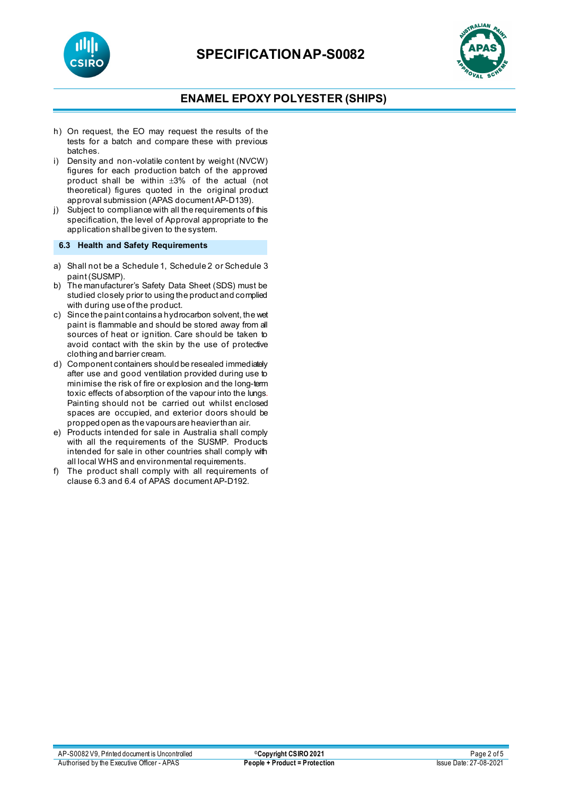



### **ENAMEL EPOXY POLYESTER (SHIPS)**

- h) On request, the EO may request the results of the tests for a batch and compare these with previous batches.
- i) Density and non-volatile content by weight (NVCW) figures for each production batch of the approved product shall be within ±3% of the actual (not theoretical) figures quoted in the original product approval submission (APAS document AP-D139).
- j) Subject to compliance with all the requirements of this specification, the level of Approval appropriate to the application shall be given to the system.

**6.3 Health and Safety Requirements**

- a) Shall not be a Schedule 1, Schedule 2 or Schedule 3 paint (SUSMP).
- b) The manufacturer's Safety Data Sheet (SDS) must be studied closely prior to using the product and complied with during use of the product.
- c) Since the paint containsa hydrocarbon solvent, the wet paint is flammable and should be stored away from all sources of heat or ignition. Care should be taken to avoid contact with the skin by the use of protective clothing and barrier cream.
- d) Component containers should be resealed immediately after use and good ventilation provided during use to minimise the risk of fire or explosion and the long-term toxic effects of absorption of the vapour into the lungs. Painting should not be carried out whilst enclosed spaces are occupied, and exterior doors should be propped open as the vapours are heavier than air.
- e) Products intended for sale in Australia shall comply with all the requirements of the SUSMP. Products intended for sale in other countries shall comply with all local WHS and environmental requirements.
- f) The product shall comply with all requirements of clause 6.3 and 6.4 of APAS document AP-D192.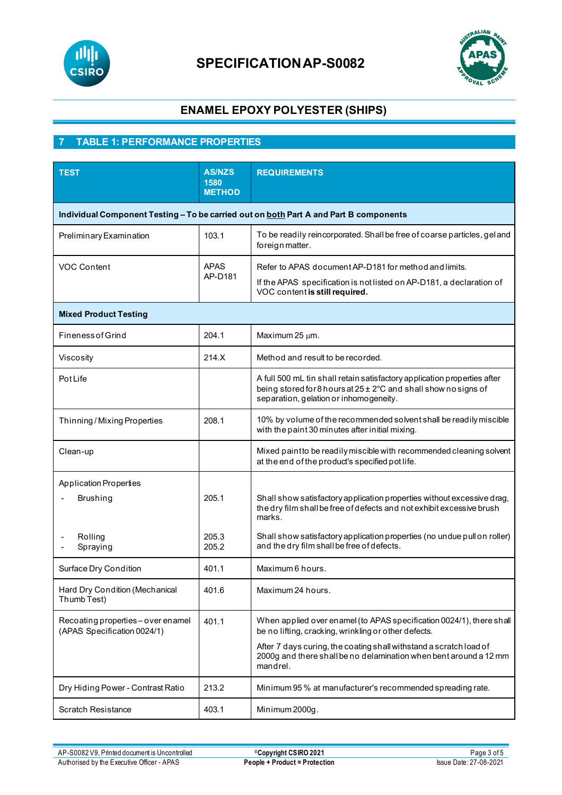



## **ENAMEL EPOXY POLYESTER (SHIPS)**

## **7 TABLE 1: PERFORMANCE PROPERTIES**

| <b>TEST</b>                                                                           | <b>AS/NZS</b><br>1580<br><b>METHOD</b> | <b>REQUIREMENTS</b>                                                                                                                                                                        |  |  |
|---------------------------------------------------------------------------------------|----------------------------------------|--------------------------------------------------------------------------------------------------------------------------------------------------------------------------------------------|--|--|
| Individual Component Testing - To be carried out on both Part A and Part B components |                                        |                                                                                                                                                                                            |  |  |
| Preliminary Examination                                                               | 103.1                                  | To be readily reincorporated. Shall be free of coarse particles, gel and<br>foreign matter.                                                                                                |  |  |
| <b>VOC Content</b>                                                                    | <b>APAS</b><br>AP-D181                 | Refer to APAS document AP-D181 for method and limits.<br>If the APAS specification is not listed on AP-D181, a declaration of<br>VOC content is still required.                            |  |  |
| <b>Mixed Product Testing</b>                                                          |                                        |                                                                                                                                                                                            |  |  |
| <b>Fineness of Grind</b>                                                              | 204.1                                  | Maximum 25 µm.                                                                                                                                                                             |  |  |
| Viscosity                                                                             | 214.X                                  | Method and result to be recorded.                                                                                                                                                          |  |  |
| <b>Pot Life</b>                                                                       |                                        | A full 500 mL tin shall retain satisfactory application properties after<br>being stored for 8 hours at $25 \pm 2$ °C and shall show no signs of<br>separation, gelation or inhomogeneity. |  |  |
| Thinning / Mixing Properties                                                          | 208.1                                  | 10% by volume of the recommended solvent shall be readily miscible<br>with the paint 30 minutes after initial mixing.                                                                      |  |  |
| Clean-up                                                                              |                                        | Mixed paint to be readily miscible with recommended cleaning solvent<br>at the end of the product's specified pot life.                                                                    |  |  |
| <b>Application Properties</b>                                                         |                                        |                                                                                                                                                                                            |  |  |
| <b>Brushing</b>                                                                       | 205.1                                  | Shall show satisfactory application properties without excessive drag,<br>the dry film shall be free of defects and not exhibit excessive brush<br>marks.                                  |  |  |
| Rolling<br>Spraying                                                                   | 205.3<br>205.2                         | Shall show satisfactory application properties (no undue pull on roller)<br>and the dry film shall be free of defects.                                                                     |  |  |
| Surface Dry Condition                                                                 | 401.1                                  | Maximum 6 hours.                                                                                                                                                                           |  |  |
| Hard Dry Condition (Mechanical<br>Thumb Test)                                         | 401.6                                  | Maximum 24 hours.                                                                                                                                                                          |  |  |
| Recoating properties-over enamel<br>(APAS Specification 0024/1)                       | 401.1                                  | When applied over enamel (to APAS specification 0024/1), there shall<br>be no lifting, cracking, wrinkling or other defects.                                                               |  |  |
|                                                                                       |                                        | After 7 days curing, the coating shall withstand a scratch load of<br>2000g and there shall be no delamination when bent around a 12 mm<br>mandrel.                                        |  |  |
| Dry Hiding Power - Contrast Ratio                                                     | 213.2                                  | Minimum 95 % at manufacturer's recommended spreading rate.                                                                                                                                 |  |  |
| <b>Scratch Resistance</b>                                                             | 403.1                                  | Minimum 2000g.                                                                                                                                                                             |  |  |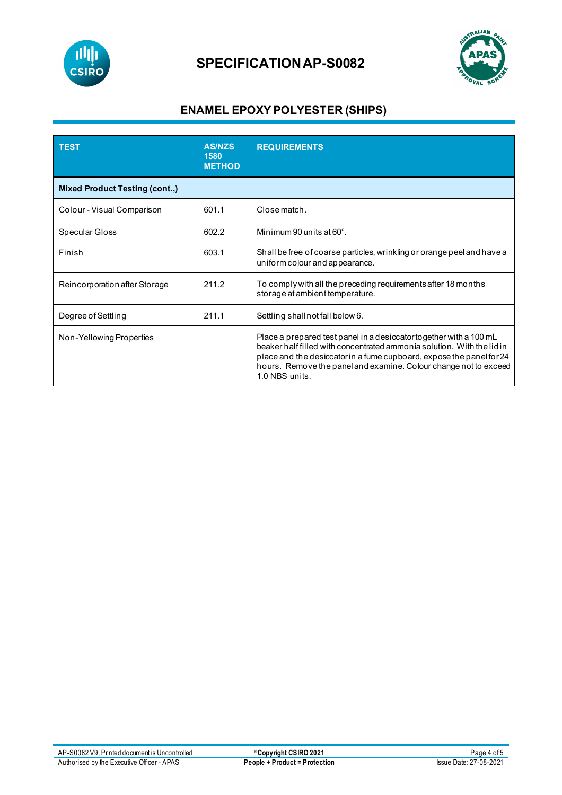



## **ENAMEL EPOXY POLYESTER (SHIPS)**

| <b>TEST</b>                           | <b>AS/NZS</b><br>1580<br><b>METHOD</b> | <b>REQUIREMENTS</b>                                                                                                                                                                                                                                                                                        |  |  |
|---------------------------------------|----------------------------------------|------------------------------------------------------------------------------------------------------------------------------------------------------------------------------------------------------------------------------------------------------------------------------------------------------------|--|--|
| <b>Mixed Product Testing (cont.,)</b> |                                        |                                                                                                                                                                                                                                                                                                            |  |  |
| Colour - Visual Comparison            | 601.1                                  | Close match.                                                                                                                                                                                                                                                                                               |  |  |
| Specular Gloss                        | 602.2                                  | Minimum 90 units at 60°.                                                                                                                                                                                                                                                                                   |  |  |
| Finish                                | 603.1                                  | Shall be free of coarse particles, wrinkling or orange peel and have a<br>uniform colour and appearance.                                                                                                                                                                                                   |  |  |
| Reincorporation after Storage         | 211.2                                  | To comply with all the preceding requirements after 18 months<br>storage at ambient temperature.                                                                                                                                                                                                           |  |  |
| Degree of Settling                    | 211.1                                  | Settling shall not fall below 6.                                                                                                                                                                                                                                                                           |  |  |
| Non-Yellowing Properties              |                                        | Place a prepared test panel in a desiccator together with a 100 mL<br>beaker half filled with concentrated ammonia solution. With the lid in<br>place and the desiccator in a fume cupboard, expose the panel for 24<br>hours. Remove the panel and examine. Colour change not to exceed<br>1.0 NBS units. |  |  |